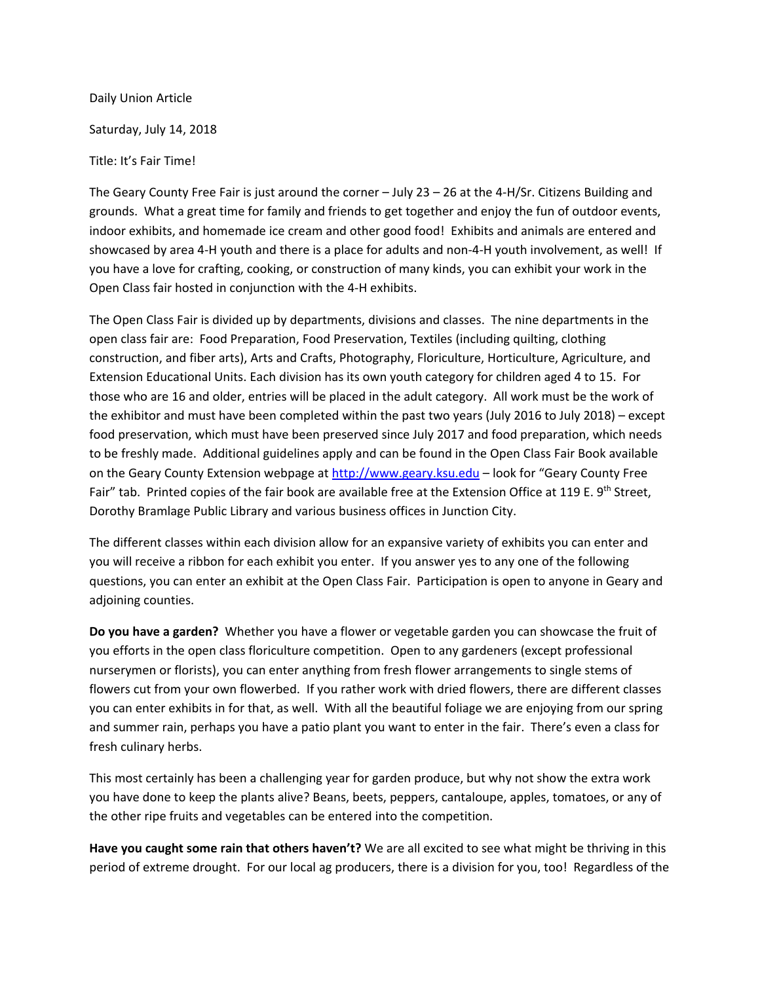Daily Union Article Saturday, July 14, 2018

Title: It's Fair Time!

The Geary County Free Fair is just around the corner – July 23 – 26 at the 4‐H/Sr. Citizens Building and grounds. What a great time for family and friends to get together and enjoy the fun of outdoor events, indoor exhibits, and homemade ice cream and other good food! Exhibits and animals are entered and showcased by area 4‐H youth and there is a place for adults and non‐4‐H youth involvement, as well! If you have a love for crafting, cooking, or construction of many kinds, you can exhibit your work in the Open Class fair hosted in conjunction with the 4‐H exhibits.

The Open Class Fair is divided up by departments, divisions and classes. The nine departments in the open class fair are: Food Preparation, Food Preservation, Textiles (including quilting, clothing construction, and fiber arts), Arts and Crafts, Photography, Floriculture, Horticulture, Agriculture, and Extension Educational Units. Each division has its own youth category for children aged 4 to 15. For those who are 16 and older, entries will be placed in the adult category. All work must be the work of the exhibitor and must have been completed within the past two years (July 2016 to July 2018) – except food preservation, which must have been preserved since July 2017 and food preparation, which needs to be freshly made. Additional guidelines apply and can be found in the Open Class Fair Book available on the Geary County Extension webpage at http://www.geary.ksu.edu – look for "Geary County Free Fair" tab. Printed copies of the fair book are available free at the Extension Office at 119 E. 9<sup>th</sup> Street, Dorothy Bramlage Public Library and various business offices in Junction City.

The different classes within each division allow for an expansive variety of exhibits you can enter and you will receive a ribbon for each exhibit you enter. If you answer yes to any one of the following questions, you can enter an exhibit at the Open Class Fair. Participation is open to anyone in Geary and adjoining counties.

**Do you have a garden?** Whether you have a flower or vegetable garden you can showcase the fruit of you efforts in the open class floriculture competition. Open to any gardeners (except professional nurserymen or florists), you can enter anything from fresh flower arrangements to single stems of flowers cut from your own flowerbed. If you rather work with dried flowers, there are different classes you can enter exhibits in for that, as well. With all the beautiful foliage we are enjoying from our spring and summer rain, perhaps you have a patio plant you want to enter in the fair. There's even a class for fresh culinary herbs.

This most certainly has been a challenging year for garden produce, but why not show the extra work you have done to keep the plants alive? Beans, beets, peppers, cantaloupe, apples, tomatoes, or any of the other ripe fruits and vegetables can be entered into the competition.

**Have you caught some rain that others haven't?** We are all excited to see what might be thriving in this period of extreme drought. For our local ag producers, there is a division for you, too! Regardless of the